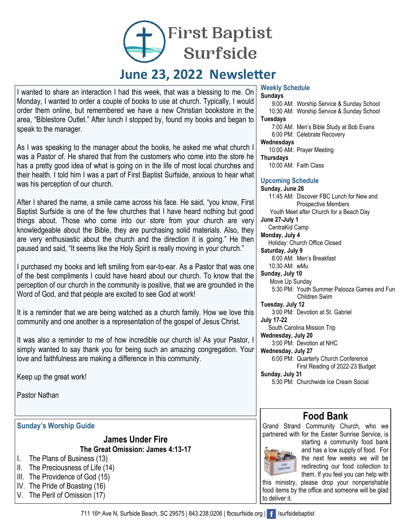**First Baptist** Surfside

# **June 23, 2022 Newsletter**

I wanted to share an interaction I had this week, that was a blessing to me. On Monday, I wanted to order a couple of books to use at church. Typically, I would order them online, but remembered we have a new Christian bookstore in the area, "Biblestore Outlet." After lunch I stopped by, found my books and began to speak to the manager.

As I was speaking to the manager about the books, he asked me what church I was a Pastor of. He shared that from the customers who come into the store he has a pretty good idea of what is going on in the life of most local churches and their health. I told him I was a part of First Baptist Surfside, anxious to hear what was his perception of our church.

After I shared the name, a smile came across his face. He said, "you know, First Baptist Surfside is one of the few churches that I have heard nothing but good things about. Those who come into our store from your church are very knowledgeable about the Bible, they are purchasing solid materials. Also, they are very enthusiastic about the church and the direction it is going." He then paused and said, "It seems like the Holy Spirit is really moving in your church."

I purchased my books and left smiling from ear-to-ear. As a Pastor that was one of the best compliments I could have heard about our church. To know that the perception of our church in the community is positive, that we are grounded in the Word of God, and that people are excited to see God at work!

It is a reminder that we are being watched as a church family. How we love this community and one another is a representation of the gospel of Jesus Christ.

It was also a reminder to me of how incredible our church is! As your Pastor, I simply wanted to say thank you for being such an amazing congregation. Your love and faithfulness are making a difference in this community.

Keep up the great work!

Pastor Nathan

#### **Sunday's Worship Guide**

**James Under Fire The Great Omission: James 4:13-17**

- I. The Plans of Business (13)
- II. The Preciousness of Life (14)
- III. The Providence of God (15)

IV. The Pride of Boasting (16)

V. The Peril of Omission (17)

#### **Weekly Schedule**

**Sundays** 9:00 AM: Worship Service & Sunday School

10:30 AM: Worship Service & Sunday School **Tuesdays**

 7:00 AM: Men's Bible Study at Bob Evans 6:00 PM: Celebrate Recovery

#### **Wednesdays**

10:00 AM: Prayer Meeting

**Thursdays** 

10:00 AM: Faith Class

#### **Upcoming Schedule**

**Sunday, June 26** 11:45 AM: Discover FBC Lunch for New and Prospective Members Youth Meet after Church for a Beach Day **June 27-July 1** CentraKid Camp **Monday, July 4** Holiday: Church Office Closed **Saturday, July 9** 8:00 AM: Men's Breakfast 10:30 AM: wMu **Sunday, July 10** Move Up Sunday 5:30 PM: Youth Summer Palooza Games and Fun Children Swim **Tuesday, July 12** 3:00 PM: Devotion at St. Gabriel **July 17-22** South Carolina Mission Trip **Wednesday, July 20** 3:00 PM: Devotion at NHC **Wednesday, July 27** 6:00 PM: Quarterly Church Conference First Reading of 2022-23 Budget **Sunday, July 31** 5:30 PM: Churchwide Ice Cream Social

### **Food Bank**

Grand Strand Community Church, who we partnered with for the Easter Sunrise Service, is



starting a community food bank and has a low supply of food. For the next few weeks we will be redirecting our food collection to them. If you feel you can help with

this ministry, please drop your nonperishable food items by the office and someone will be glad to deliver it.